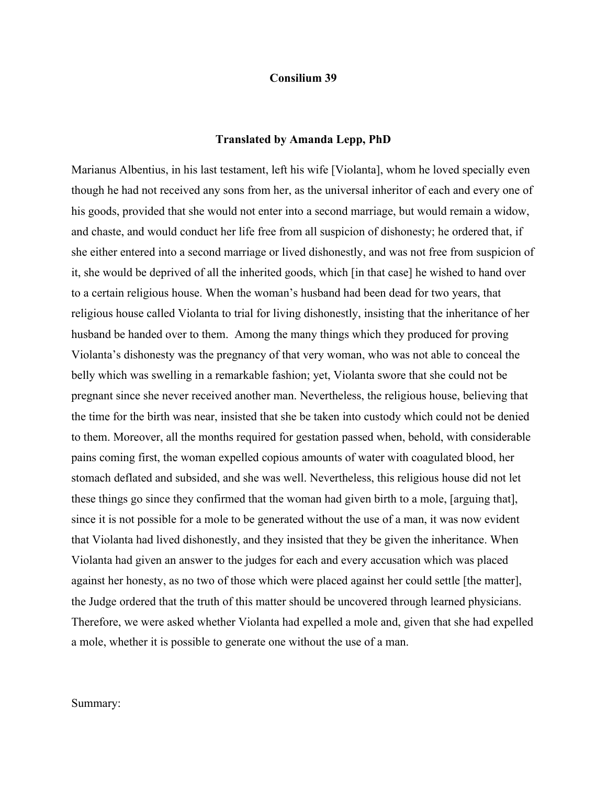## **Consilium 39**

## **Translated by Amanda Lepp, PhD**

Marianus Albentius, in his last testament, left his wife [Violanta], whom he loved specially even though he had not received any sons from her, as the universal inheritor of each and every one of his goods, provided that she would not enter into a second marriage, but would remain a widow, and chaste, and would conduct her life free from all suspicion of dishonesty; he ordered that, if she either entered into a second marriage or lived dishonestly, and was not free from suspicion of it, she would be deprived of all the inherited goods, which [in that case] he wished to hand over to a certain religious house. When the woman's husband had been dead for two years, that religious house called Violanta to trial for living dishonestly, insisting that the inheritance of her husband be handed over to them. Among the many things which they produced for proving Violanta's dishonesty was the pregnancy of that very woman, who was not able to conceal the belly which was swelling in a remarkable fashion; yet, Violanta swore that she could not be pregnant since she never received another man. Nevertheless, the religious house, believing that the time for the birth was near, insisted that she be taken into custody which could not be denied to them. Moreover, all the months required for gestation passed when, behold, with considerable pains coming first, the woman expelled copious amounts of water with coagulated blood, her stomach deflated and subsided, and she was well. Nevertheless, this religious house did not let these things go since they confirmed that the woman had given birth to a mole, [arguing that], since it is not possible for a mole to be generated without the use of a man, it was now evident that Violanta had lived dishonestly, and they insisted that they be given the inheritance. When Violanta had given an answer to the judges for each and every accusation which was placed against her honesty, as no two of those which were placed against her could settle [the matter], the Judge ordered that the truth of this matter should be uncovered through learned physicians. Therefore, we were asked whether Violanta had expelled a mole and, given that she had expelled a mole, whether it is possible to generate one without the use of a man.

## Summary: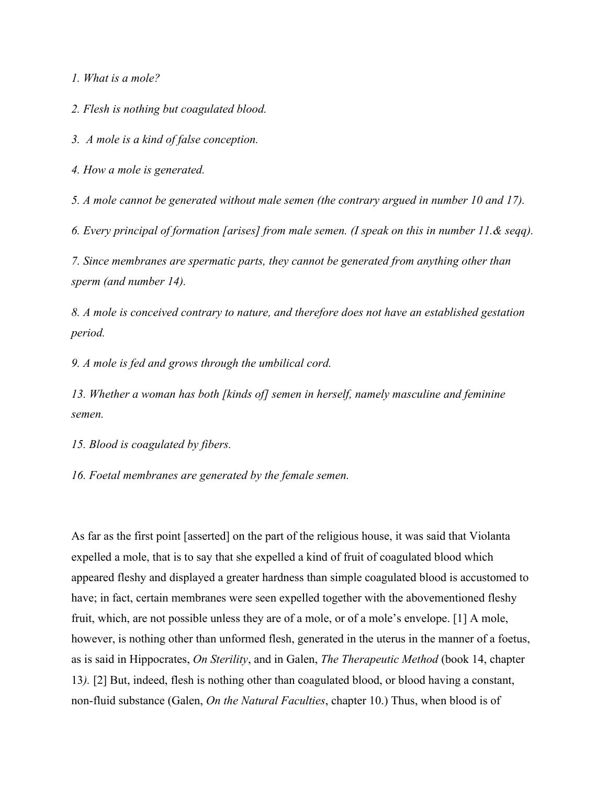*1. What is a mole?*

*2. Flesh is nothing but coagulated blood.*

*3. A mole is a kind of false conception.*

*4. How a mole is generated.*

*5. A mole cannot be generated without male semen (the contrary argued in number 10 and 17).*

*6. Every principal of formation [arises] from male semen. (I speak on this in number 11.& seqq).*

*7. Since membranes are spermatic parts, they cannot be generated from anything other than sperm (and number 14).*

*8. A mole is conceived contrary to nature, and therefore does not have an established gestation period.*

*9. A mole is fed and grows through the umbilical cord.*

*13. Whether a woman has both [kinds of] semen in herself, namely masculine and feminine semen.* 

*15. Blood is coagulated by fibers.*

*16. Foetal membranes are generated by the female semen.*

As far as the first point [asserted] on the part of the religious house, it was said that Violanta expelled a mole, that is to say that she expelled a kind of fruit of coagulated blood which appeared fleshy and displayed a greater hardness than simple coagulated blood is accustomed to have; in fact, certain membranes were seen expelled together with the abovementioned fleshy fruit, which, are not possible unless they are of a mole, or of a mole's envelope. [1] A mole, however, is nothing other than unformed flesh, generated in the uterus in the manner of a foetus, as is said in Hippocrates, *On Sterility*, and in Galen, *The Therapeutic Method* (book 14, chapter 13*).* [2] But, indeed, flesh is nothing other than coagulated blood, or blood having a constant, non-fluid substance (Galen, *On the Natural Faculties*, chapter 10.) Thus, when blood is of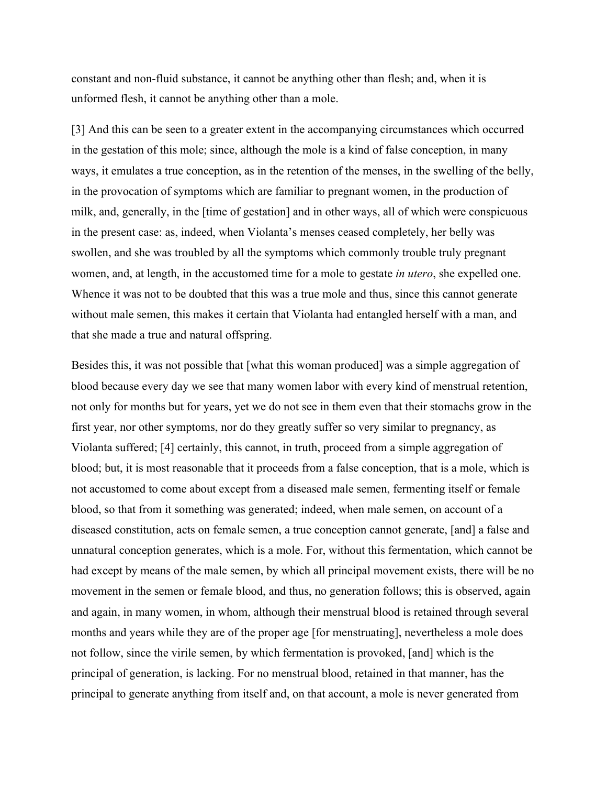constant and non-fluid substance, it cannot be anything other than flesh; and, when it is unformed flesh, it cannot be anything other than a mole.

[3] And this can be seen to a greater extent in the accompanying circumstances which occurred in the gestation of this mole; since, although the mole is a kind of false conception, in many ways, it emulates a true conception, as in the retention of the menses, in the swelling of the belly, in the provocation of symptoms which are familiar to pregnant women, in the production of milk, and, generally, in the [time of gestation] and in other ways, all of which were conspicuous in the present case: as, indeed, when Violanta's menses ceased completely, her belly was swollen, and she was troubled by all the symptoms which commonly trouble truly pregnant women, and, at length, in the accustomed time for a mole to gestate *in utero*, she expelled one. Whence it was not to be doubted that this was a true mole and thus, since this cannot generate without male semen, this makes it certain that Violanta had entangled herself with a man, and that she made a true and natural offspring.

Besides this, it was not possible that [what this woman produced] was a simple aggregation of blood because every day we see that many women labor with every kind of menstrual retention, not only for months but for years, yet we do not see in them even that their stomachs grow in the first year, nor other symptoms, nor do they greatly suffer so very similar to pregnancy, as Violanta suffered; [4] certainly, this cannot, in truth, proceed from a simple aggregation of blood; but, it is most reasonable that it proceeds from a false conception, that is a mole, which is not accustomed to come about except from a diseased male semen, fermenting itself or female blood, so that from it something was generated; indeed, when male semen, on account of a diseased constitution, acts on female semen, a true conception cannot generate, [and] a false and unnatural conception generates, which is a mole. For, without this fermentation, which cannot be had except by means of the male semen, by which all principal movement exists, there will be no movement in the semen or female blood, and thus, no generation follows; this is observed, again and again, in many women, in whom, although their menstrual blood is retained through several months and years while they are of the proper age [for menstruating], nevertheless a mole does not follow, since the virile semen, by which fermentation is provoked, [and] which is the principal of generation, is lacking. For no menstrual blood, retained in that manner, has the principal to generate anything from itself and, on that account, a mole is never generated from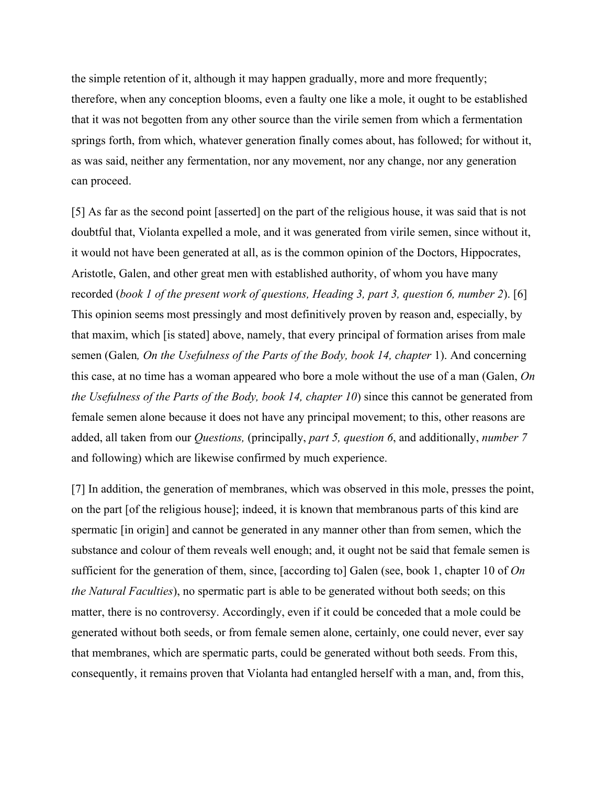the simple retention of it, although it may happen gradually, more and more frequently; therefore, when any conception blooms, even a faulty one like a mole, it ought to be established that it was not begotten from any other source than the virile semen from which a fermentation springs forth, from which, whatever generation finally comes about, has followed; for without it, as was said, neither any fermentation, nor any movement, nor any change, nor any generation can proceed.

[5] As far as the second point [asserted] on the part of the religious house, it was said that is not doubtful that, Violanta expelled a mole, and it was generated from virile semen, since without it, it would not have been generated at all, as is the common opinion of the Doctors, Hippocrates, Aristotle, Galen, and other great men with established authority, of whom you have many recorded (*book 1 of the present work of questions, Heading 3, part 3, question 6, number 2*). [6] This opinion seems most pressingly and most definitively proven by reason and, especially, by that maxim, which [is stated] above, namely, that every principal of formation arises from male semen (Galen*, On the Usefulness of the Parts of the Body, book 14, chapter* 1). And concerning this case, at no time has a woman appeared who bore a mole without the use of a man (Galen, *On the Usefulness of the Parts of the Body, book 14, chapter 10*) since this cannot be generated from female semen alone because it does not have any principal movement; to this, other reasons are added, all taken from our *Questions,* (principally, *part 5, question 6*, and additionally, *number 7*  and following) which are likewise confirmed by much experience.

[7] In addition, the generation of membranes, which was observed in this mole, presses the point, on the part [of the religious house]; indeed, it is known that membranous parts of this kind are spermatic [in origin] and cannot be generated in any manner other than from semen, which the substance and colour of them reveals well enough; and, it ought not be said that female semen is sufficient for the generation of them, since, [according to] Galen (see, book 1, chapter 10 of *On the Natural Faculties*), no spermatic part is able to be generated without both seeds; on this matter, there is no controversy. Accordingly, even if it could be conceded that a mole could be generated without both seeds, or from female semen alone, certainly, one could never, ever say that membranes, which are spermatic parts, could be generated without both seeds. From this, consequently, it remains proven that Violanta had entangled herself with a man, and, from this,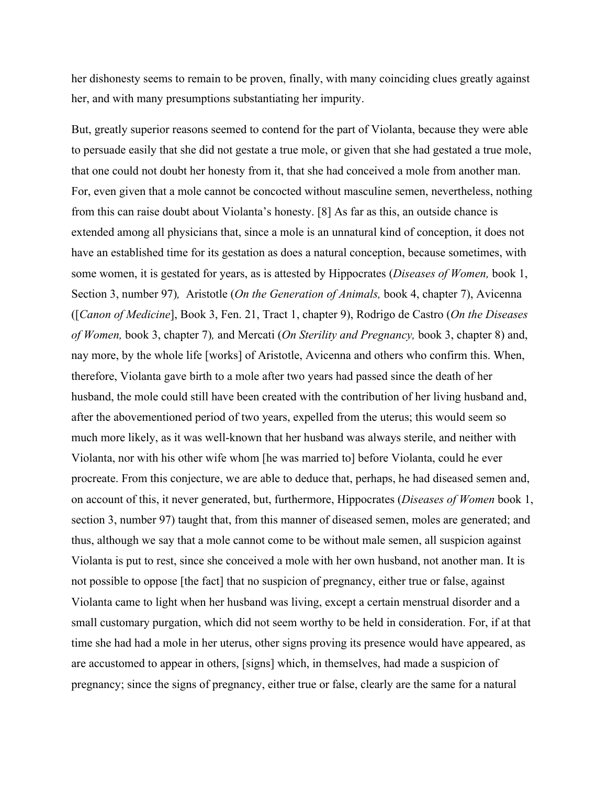her dishonesty seems to remain to be proven, finally, with many coinciding clues greatly against her, and with many presumptions substantiating her impurity.

But, greatly superior reasons seemed to contend for the part of Violanta, because they were able to persuade easily that she did not gestate a true mole, or given that she had gestated a true mole, that one could not doubt her honesty from it, that she had conceived a mole from another man. For, even given that a mole cannot be concocted without masculine semen, nevertheless, nothing from this can raise doubt about Violanta's honesty. [8] As far as this, an outside chance is extended among all physicians that, since a mole is an unnatural kind of conception, it does not have an established time for its gestation as does a natural conception, because sometimes, with some women, it is gestated for years, as is attested by Hippocrates (*Diseases of Women,* book 1, Section 3, number 97)*,* Aristotle (*On the Generation of Animals,* book 4, chapter 7), Avicenna ([*Canon of Medicine*], Book 3, Fen. 21, Tract 1, chapter 9), Rodrigo de Castro (*On the Diseases of Women,* book 3, chapter 7)*,* and Mercati (*On Sterility and Pregnancy,* book 3, chapter 8) and, nay more, by the whole life [works] of Aristotle, Avicenna and others who confirm this. When, therefore, Violanta gave birth to a mole after two years had passed since the death of her husband, the mole could still have been created with the contribution of her living husband and, after the abovementioned period of two years, expelled from the uterus; this would seem so much more likely, as it was well-known that her husband was always sterile, and neither with Violanta, nor with his other wife whom [he was married to] before Violanta, could he ever procreate. From this conjecture, we are able to deduce that, perhaps, he had diseased semen and, on account of this, it never generated, but, furthermore, Hippocrates (*Diseases of Women* book 1, section 3, number 97) taught that, from this manner of diseased semen, moles are generated; and thus, although we say that a mole cannot come to be without male semen, all suspicion against Violanta is put to rest, since she conceived a mole with her own husband, not another man. It is not possible to oppose [the fact] that no suspicion of pregnancy, either true or false, against Violanta came to light when her husband was living, except a certain menstrual disorder and a small customary purgation, which did not seem worthy to be held in consideration. For, if at that time she had had a mole in her uterus, other signs proving its presence would have appeared, as are accustomed to appear in others, [signs] which, in themselves, had made a suspicion of pregnancy; since the signs of pregnancy, either true or false, clearly are the same for a natural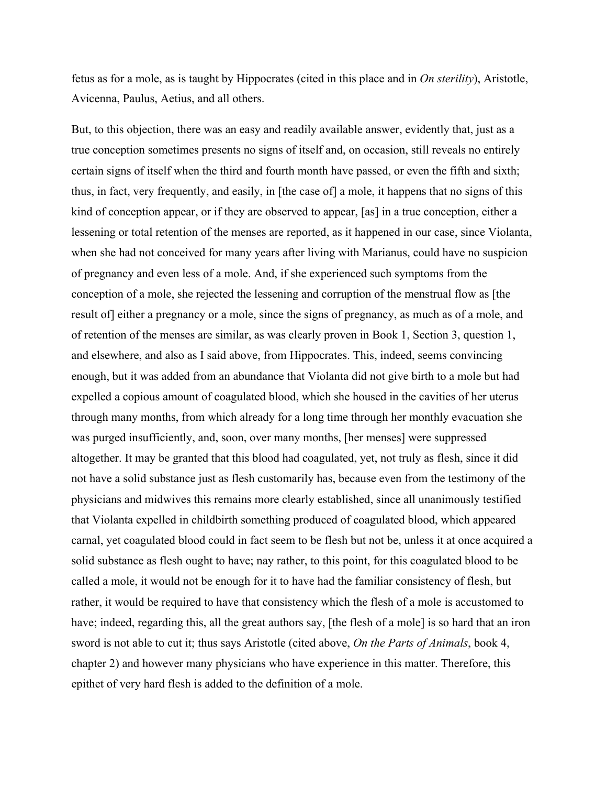fetus as for a mole, as is taught by Hippocrates (cited in this place and in *On sterility*), Aristotle, Avicenna, Paulus, Aetius, and all others.

But, to this objection, there was an easy and readily available answer, evidently that, just as a true conception sometimes presents no signs of itself and, on occasion, still reveals no entirely certain signs of itself when the third and fourth month have passed, or even the fifth and sixth; thus, in fact, very frequently, and easily, in [the case of] a mole, it happens that no signs of this kind of conception appear, or if they are observed to appear, [as] in a true conception, either a lessening or total retention of the menses are reported, as it happened in our case, since Violanta, when she had not conceived for many years after living with Marianus, could have no suspicion of pregnancy and even less of a mole. And, if she experienced such symptoms from the conception of a mole, she rejected the lessening and corruption of the menstrual flow as [the result of] either a pregnancy or a mole, since the signs of pregnancy, as much as of a mole, and of retention of the menses are similar, as was clearly proven in Book 1, Section 3, question 1, and elsewhere, and also as I said above, from Hippocrates. This, indeed, seems convincing enough, but it was added from an abundance that Violanta did not give birth to a mole but had expelled a copious amount of coagulated blood, which she housed in the cavities of her uterus through many months, from which already for a long time through her monthly evacuation she was purged insufficiently, and, soon, over many months, [her menses] were suppressed altogether. It may be granted that this blood had coagulated, yet, not truly as flesh, since it did not have a solid substance just as flesh customarily has, because even from the testimony of the physicians and midwives this remains more clearly established, since all unanimously testified that Violanta expelled in childbirth something produced of coagulated blood, which appeared carnal, yet coagulated blood could in fact seem to be flesh but not be, unless it at once acquired a solid substance as flesh ought to have; nay rather, to this point, for this coagulated blood to be called a mole, it would not be enough for it to have had the familiar consistency of flesh, but rather, it would be required to have that consistency which the flesh of a mole is accustomed to have; indeed, regarding this, all the great authors say, [the flesh of a mole] is so hard that an iron sword is not able to cut it; thus says Aristotle (cited above, *On the Parts of Animals*, book 4, chapter 2) and however many physicians who have experience in this matter. Therefore, this epithet of very hard flesh is added to the definition of a mole.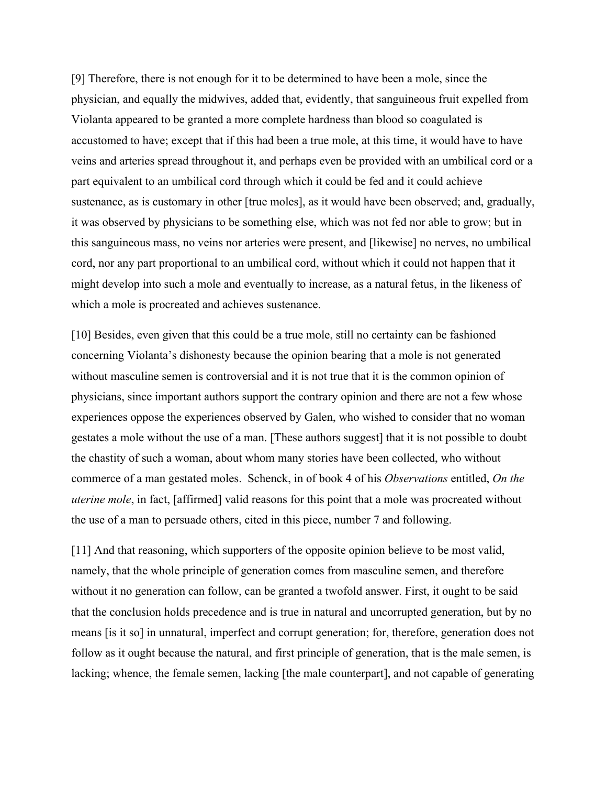[9] Therefore, there is not enough for it to be determined to have been a mole, since the physician, and equally the midwives, added that, evidently, that sanguineous fruit expelled from Violanta appeared to be granted a more complete hardness than blood so coagulated is accustomed to have; except that if this had been a true mole, at this time, it would have to have veins and arteries spread throughout it, and perhaps even be provided with an umbilical cord or a part equivalent to an umbilical cord through which it could be fed and it could achieve sustenance, as is customary in other [true moles], as it would have been observed; and, gradually, it was observed by physicians to be something else, which was not fed nor able to grow; but in this sanguineous mass, no veins nor arteries were present, and [likewise] no nerves, no umbilical cord, nor any part proportional to an umbilical cord, without which it could not happen that it might develop into such a mole and eventually to increase, as a natural fetus, in the likeness of which a mole is procreated and achieves sustenance.

[10] Besides, even given that this could be a true mole, still no certainty can be fashioned concerning Violanta's dishonesty because the opinion bearing that a mole is not generated without masculine semen is controversial and it is not true that it is the common opinion of physicians, since important authors support the contrary opinion and there are not a few whose experiences oppose the experiences observed by Galen, who wished to consider that no woman gestates a mole without the use of a man. [These authors suggest] that it is not possible to doubt the chastity of such a woman, about whom many stories have been collected, who without commerce of a man gestated moles. Schenck, in of book 4 of his *Observations* entitled, *On the uterine mole*, in fact, [affirmed] valid reasons for this point that a mole was procreated without the use of a man to persuade others, cited in this piece, number 7 and following.

[11] And that reasoning, which supporters of the opposite opinion believe to be most valid, namely, that the whole principle of generation comes from masculine semen, and therefore without it no generation can follow, can be granted a twofold answer. First, it ought to be said that the conclusion holds precedence and is true in natural and uncorrupted generation, but by no means [is it so] in unnatural, imperfect and corrupt generation; for, therefore, generation does not follow as it ought because the natural, and first principle of generation, that is the male semen, is lacking; whence, the female semen, lacking [the male counterpart], and not capable of generating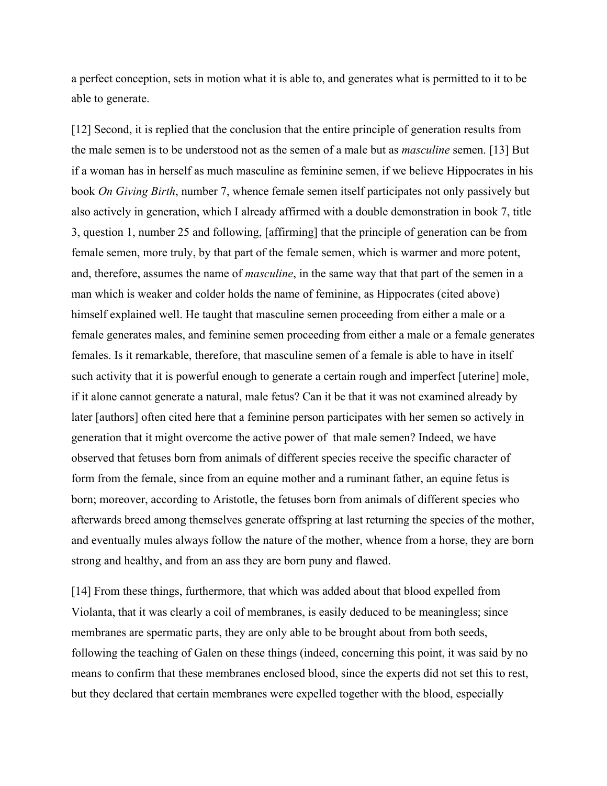a perfect conception, sets in motion what it is able to, and generates what is permitted to it to be able to generate.

[12] Second, it is replied that the conclusion that the entire principle of generation results from the male semen is to be understood not as the semen of a male but as *masculine* semen. [13] But if a woman has in herself as much masculine as feminine semen, if we believe Hippocrates in his book *On Giving Birth*, number 7, whence female semen itself participates not only passively but also actively in generation, which I already affirmed with a double demonstration in book 7, title 3, question 1, number 25 and following, [affirming] that the principle of generation can be from female semen, more truly, by that part of the female semen, which is warmer and more potent, and, therefore, assumes the name of *masculine*, in the same way that that part of the semen in a man which is weaker and colder holds the name of feminine, as Hippocrates (cited above) himself explained well. He taught that masculine semen proceeding from either a male or a female generates males, and feminine semen proceeding from either a male or a female generates females. Is it remarkable, therefore, that masculine semen of a female is able to have in itself such activity that it is powerful enough to generate a certain rough and imperfect [uterine] mole, if it alone cannot generate a natural, male fetus? Can it be that it was not examined already by later [authors] often cited here that a feminine person participates with her semen so actively in generation that it might overcome the active power of that male semen? Indeed, we have observed that fetuses born from animals of different species receive the specific character of form from the female, since from an equine mother and a ruminant father, an equine fetus is born; moreover, according to Aristotle, the fetuses born from animals of different species who afterwards breed among themselves generate offspring at last returning the species of the mother, and eventually mules always follow the nature of the mother, whence from a horse, they are born strong and healthy, and from an ass they are born puny and flawed.

[14] From these things, furthermore, that which was added about that blood expelled from Violanta, that it was clearly a coil of membranes, is easily deduced to be meaningless; since membranes are spermatic parts, they are only able to be brought about from both seeds, following the teaching of Galen on these things (indeed, concerning this point, it was said by no means to confirm that these membranes enclosed blood, since the experts did not set this to rest, but they declared that certain membranes were expelled together with the blood, especially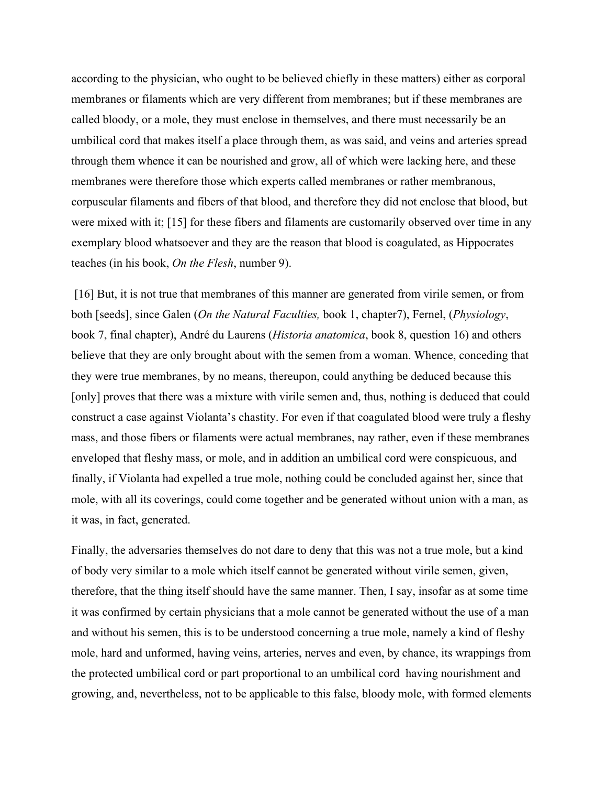according to the physician, who ought to be believed chiefly in these matters) either as corporal membranes or filaments which are very different from membranes; but if these membranes are called bloody, or a mole, they must enclose in themselves, and there must necessarily be an umbilical cord that makes itself a place through them, as was said, and veins and arteries spread through them whence it can be nourished and grow, all of which were lacking here, and these membranes were therefore those which experts called membranes or rather membranous, corpuscular filaments and fibers of that blood, and therefore they did not enclose that blood, but were mixed with it; [15] for these fibers and filaments are customarily observed over time in any exemplary blood whatsoever and they are the reason that blood is coagulated, as Hippocrates teaches (in his book, *On the Flesh*, number 9).

[16] But, it is not true that membranes of this manner are generated from virile semen, or from both [seeds], since Galen (*On the Natural Faculties,* book 1, chapter7), Fernel, (*Physiology*, book 7, final chapter), André du Laurens (*Historia anatomica*, book 8, question 16) and others believe that they are only brought about with the semen from a woman. Whence, conceding that they were true membranes, by no means, thereupon, could anything be deduced because this [only] proves that there was a mixture with virile semen and, thus, nothing is deduced that could construct a case against Violanta's chastity. For even if that coagulated blood were truly a fleshy mass, and those fibers or filaments were actual membranes, nay rather, even if these membranes enveloped that fleshy mass, or mole, and in addition an umbilical cord were conspicuous, and finally, if Violanta had expelled a true mole, nothing could be concluded against her, since that mole, with all its coverings, could come together and be generated without union with a man, as it was, in fact, generated.

Finally, the adversaries themselves do not dare to deny that this was not a true mole, but a kind of body very similar to a mole which itself cannot be generated without virile semen, given, therefore, that the thing itself should have the same manner. Then, I say, insofar as at some time it was confirmed by certain physicians that a mole cannot be generated without the use of a man and without his semen, this is to be understood concerning a true mole, namely a kind of fleshy mole, hard and unformed, having veins, arteries, nerves and even, by chance, its wrappings from the protected umbilical cord or part proportional to an umbilical cord having nourishment and growing, and, nevertheless, not to be applicable to this false, bloody mole, with formed elements